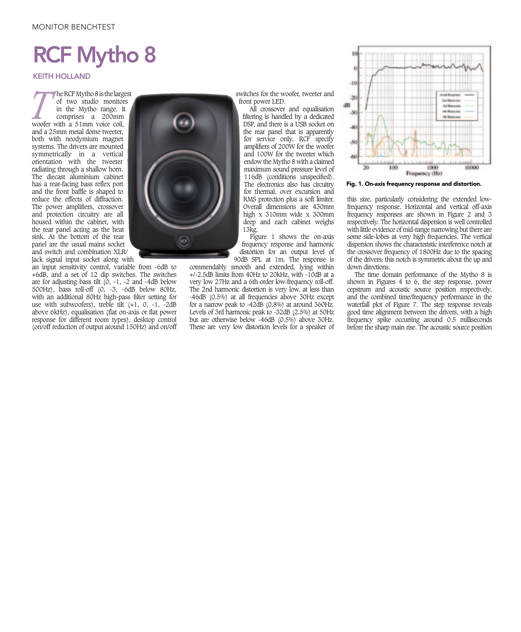## MONITOR BENCHTEST

# RCF Mytho 8

### KEITH HOLLAND

**The RCF Mytho 8 is the largest**<br>of two studio monitors<br>in the Mytho range. It<br>comprises a 200mm<br>woofer with a 51mm voice coil, of two studio monitors in the Mytho range. It comprises a 200mm woofer with a 51mm voice coil, and a 25mm metal dome tweeter, both with neodymium magnet systems. The drivers are mounted symmetrically in a vertical orientation with the tweeter radiating through a shallow horn. The diecast aluminium cabinet has a rear-facing bass reflex port and the front baffle is shaped to reduce the effects of diffraction. The power amplifiers, crossover and protection circuitry are all housed within the cabinet, with the rear panel acting as the heat sink. At the bottom of the rear panel are the usual mains socket and switch and combination XLR/ Jack signal input socket along with

response for different room types), desktop control an input sensitivity control, variable from -6dB to +6dB, and a set of 12 dip switches. The switches are for adjusting bass tilt  $(0, -1, -2, -4)$  and  $-4$ dB below 500Hz), bass roll-off (0, -3, -6dB below 80Hz, with an additional 80Hz high-pass filter setting for use with subwoofers), treble tilt  $(+1, 0, -1, -2dB)$ above 6kHz), equalisation (flat on-axis or flat power (on/off reduction of output around 150Hz) and on/off

switches for the woofer, tweeter and front power LED.

All crossover and equalisation filtering is handled by a dedicated DSP, and there is a USB socket on the rear panel that is apparently for service only. RCF specify amplifiers of 200W for the woofer and 100W for the tweeter which endow the Mytho 8 with a claimed maximum sound pressure level of 116dB (conditions unspecified). The electronics also has circuitry for thermal, over excursion and RMS protection plus a soft limiter. Overall dimensions are 430mm high x 310mm wide x 300mm deep and each cabinet weighs 13kg.

Figure 1 shows the on-axis frequency response and harmonic distortion for an output level of 90dB SPL at 1m. The response is

commendably smooth and extended, lying within +/-2.5dB limits from 40Hz to 20kHz, with -10dB at a very low 27Hz and a 6th-order low-frequency roll-off. The 2nd harmonic distortion is very low, at less than -46dB (0.5%) at all frequencies above 30Hz except for a narrow peak to -42dB (0.8%) at around 360Hz. Levels of 3rd harmonic peak to -32dB (2.5%) at 50Hz but are otherwise below -46dB (0.5%) above 30Hz. These are very low distortion levels for a speaker of



Fig. 1. On-axis frequency response and distortion.

this size, particularly considering the extended lowfrequency response. Horizontal and vertical off-axis frequency responses are shown in Figure 2 and 3 respectively. The horizontal dispersion is well controlled with little evidence of mid-range narrowing but there are some side-lobes at very high frequencies. The vertical dispersion shows the characteristic interference notch at the crossover frequency of 1800Hz due to the spacing of the drivers; this notch is symmetric about the up and down directions.

The time domain performance of the Mytho 8 is shown in Figures 4 to 6, the step response, power cepstrum and acoustic source position respectively, and the combined time/frequency performance in the waterfall plot of Figure 7. The step response reveals good time alignment between the drivers, with a high frequency spike occurring around 0.5 milliseconds before the sharp main rise. The acoustic source position